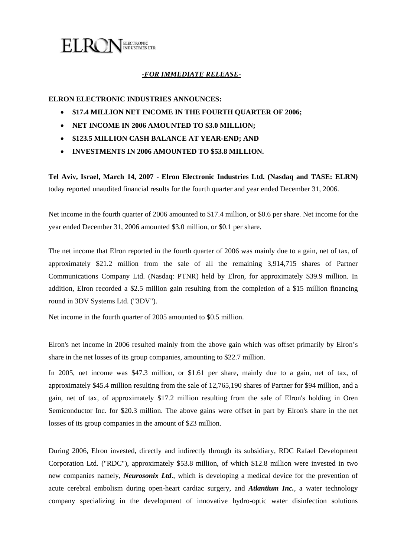

## *-FOR IMMEDIATE RELEASE-*

### **ELRON ELECTRONIC INDUSTRIES ANNOUNCES:**

- **\$17.4 MILLION NET INCOME IN THE FOURTH QUARTER OF 2006;**
- **NET INCOME IN 2006 AMOUNTED TO \$3.0 MILLION;**
- **\$123.5 MILLION CASH BALANCE AT YEAR-END; AND**
- **INVESTMENTS IN 2006 AMOUNTED TO \$53.8 MILLION.**

**Tel Aviv, Israel, March 14, 2007 - Elron Electronic Industries Ltd. (Nasdaq and TASE: ELRN)** today reported unaudited financial results for the fourth quarter and year ended December 31, 2006.

Net income in the fourth quarter of 2006 amounted to \$17.4 million, or \$0.6 per share. Net income for the year ended December 31, 2006 amounted \$3.0 million, or \$0.1 per share.

The net income that Elron reported in the fourth quarter of 2006 was mainly due to a gain, net of tax, of approximately \$21.2 million from the sale of all the remaining 3,914,715 shares of Partner Communications Company Ltd. (Nasdaq: PTNR) held by Elron, for approximately \$39.9 million. In addition, Elron recorded a \$2.5 million gain resulting from the completion of a \$15 million financing round in 3DV Systems Ltd. ("3DV").

Net income in the fourth quarter of 2005 amounted to \$0.5 million.

Elron's net income in 2006 resulted mainly from the above gain which was offset primarily by Elron's share in the net losses of its group companies, amounting to \$22.7 million.

In 2005, net income was \$47.3 million, or \$1.61 per share, mainly due to a gain, net of tax, of approximately \$45.4 million resulting from the sale of 12,765,190 shares of Partner for \$94 million, and a gain, net of tax, of approximately \$17.2 million resulting from the sale of Elron's holding in Oren Semiconductor Inc. for \$20.3 million. The above gains were offset in part by Elron's share in the net losses of its group companies in the amount of \$23 million.

During 2006, Elron invested, directly and indirectly through its subsidiary, RDC Rafael Development Corporation Ltd. ("RDC"), approximately \$53.8 million, of which \$12.8 million were invested in two new companies namely, *Neurosonix Ltd*., which is developing a medical device for the prevention of acute cerebral embolism during open-heart cardiac surgery, and *Atlantium Inc.*, a water technology company specializing in the development of innovative hydro-optic water disinfection solutions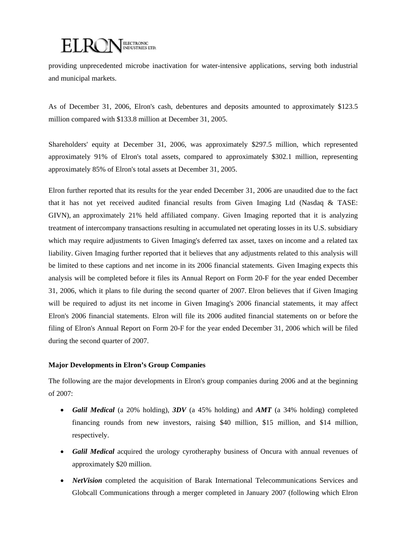# ELRONELECTRONIC

providing unprecedented microbe inactivation for water-intensive applications, serving both industrial and municipal markets.

As of December 31, 2006, Elron's cash, debentures and deposits amounted to approximately \$123.5 million compared with \$133.8 million at December 31, 2005.

Shareholders' equity at December 31, 2006, was approximately \$297.5 million, which represented approximately 91% of Elron's total assets, compared to approximately \$302.1 million, representing approximately 85% of Elron's total assets at December 31, 2005.

Elron further reported that its results for the year ended December 31, 2006 are unaudited due to the fact that it has not yet received audited financial results from Given Imaging Ltd (Nasdaq & TASE: GIVN), an approximately 21% held affiliated company. Given Imaging reported that it is analyzing treatment of intercompany transactions resulting in accumulated net operating losses in its U.S. subsidiary which may require adjustments to Given Imaging's deferred tax asset, taxes on income and a related tax liability. Given Imaging further reported that it believes that any adjustments related to this analysis will be limited to these captions and net income in its 2006 financial statements. Given Imaging expects this analysis will be completed before it files its Annual Report on Form 20-F for the year ended December 31, 2006, which it plans to file during the second quarter of 2007. Elron believes that if Given Imaging will be required to adjust its net income in Given Imaging's 2006 financial statements, it may affect Elron's 2006 financial statements. Elron will file its 2006 audited financial statements on or before the filing of Elron's Annual Report on Form 20-F for the year ended December 31, 2006 which will be filed during the second quarter of 2007.

## **Major Developments in Elron's Group Companies**

The following are the major developments in Elron's group companies during 2006 and at the beginning of 2007:

- *Galil Medical* (a 20% holding), *3DV* (a 45% holding) and *AMT* (a 34% holding) completed financing rounds from new investors, raising \$40 million, \$15 million, and \$14 million, respectively.
- *Galil Medical* acquired the urology cyrotheraphy business of Oncura with annual revenues of approximately \$20 million.
- *NetVision* completed the acquisition of Barak International Telecommunications Services and Globcall Communications through a merger completed in January 2007 (following which Elron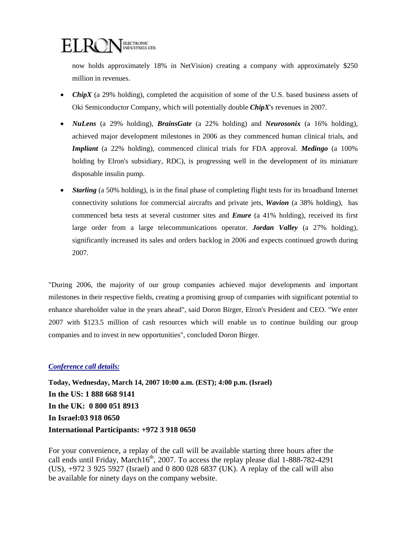

now holds approximately 18% in NetVision) creating a company with approximately \$250 million in revenues.

- *ChipX* (a 29% holding), completed the acquisition of some of the U.S. based business assets of Oki Semiconductor Company, which will potentially double *ChipX*'s revenues in 2007.
- *NuLens* (a 29% holding), *BrainsGate* (a 22% holding) and *Neurosonix* (a 16% holding), achieved major development milestones in 2006 as they commenced human clinical trials, and *Impliant* (a 22% holding), commenced clinical trials for FDA approval. *Medingo* (a 100% holding by Elron's subsidiary, RDC), is progressing well in the development of its miniature disposable insulin pump.
- *Starling* (a 50% holding), is in the final phase of completing flight tests for its broadband Internet connectivity solutions for commercial aircrafts and private jets, *Wavion* (a 38% holding), has commenced beta tests at several customer sites and *Enure* (a 41% holding), received its first large order from a large telecommunications operator. *Jordan Valley* (a 27% holding), significantly increased its sales and orders backlog in 2006 and expects continued growth during 2007.

"During 2006, the majority of our group companies achieved major developments and important milestones in their respective fields, creating a promising group of companies with significant potential to enhance shareholder value in the years ahead", said Doron Birger, Elron's President and CEO. "We enter 2007 with \$123.5 million of cash resources which will enable us to continue building our group companies and to invest in new opportunities", concluded Doron Birger.

#### *Conference call details:*

**Today, Wednesday, March 14, 2007 10:00 a.m. (EST); 4:00 p.m. (Israel) In the US: 1 888 668 9141 In the UK: 0 800 051 8913 In Israel:03 918 0650 International Participants: +972 3 918 0650** 

For your convenience, a replay of the call will be available starting three hours after the call ends until Friday, March16<sup>th</sup>, 2007. To access the replay please dial  $1-888-782-4291$ (US), +972 3 925 5927 (Israel) and 0 800 028 6837 (UK). A replay of the call will also be available for ninety days on the company website.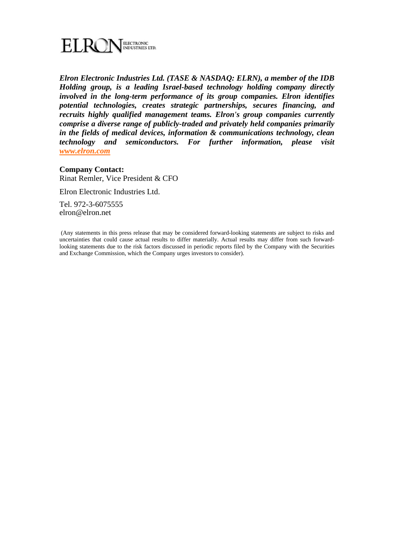

*Elron Electronic Industries Ltd. (TASE & NASDAQ: ELRN), a member of the IDB Holding group, is a leading Israel-based technology holding company directly involved in the long-term performance of its group companies. Elron identifies potential technologies, creates strategic partnerships, secures financing, and recruits highly qualified management teams. Elron's group companies currently comprise a diverse range of publicly-traded and privately held companies primarily in the fields of medical devices, information & communications technology, clean technology and semiconductors. For further information, please visit www.elron.com*

#### **Company Contact:**

Rinat Remler, Vice President & CFO

Elron Electronic Industries Ltd.

Tel. 972-3-6075555 elron@elron.net

 (Any statements in this press release that may be considered forward-looking statements are subject to risks and uncertainties that could cause actual results to differ materially. Actual results may differ from such forwardlooking statements due to the risk factors discussed in periodic reports filed by the Company with the Securities and Exchange Commission, which the Company urges investors to consider).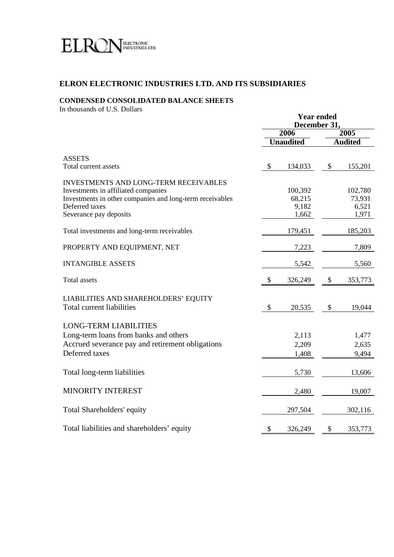

## **ELRON ELECTRONIC INDUSTRIES LTD. AND ITS SUBSIDIARIES**

## **CONDENSED CONSOLIDATED BALANCE SHEETS**

In thousands of U.S. Dollars

|                                                                                                                                                                                             | <b>Year ended</b><br>December 31, |                                     |      |                                     |
|---------------------------------------------------------------------------------------------------------------------------------------------------------------------------------------------|-----------------------------------|-------------------------------------|------|-------------------------------------|
|                                                                                                                                                                                             | 2006                              |                                     | 2005 |                                     |
|                                                                                                                                                                                             |                                   | <b>Unaudited</b>                    |      | <b>Audited</b>                      |
| <b>ASSETS</b><br>Total current assets                                                                                                                                                       | \$                                | 134,033                             | \$   | 155,201                             |
| <b>INVESTMENTS AND LONG-TERM RECEIVABLES</b><br>Investments in affiliated companies<br>Investments in other companies and long-term receivables<br>Deferred taxes<br>Severance pay deposits |                                   | 100,392<br>68,215<br>9,182<br>1,662 |      | 102,780<br>73,931<br>6,521<br>1,971 |
| Total investments and long-term receivables                                                                                                                                                 |                                   | 179,451                             |      | 185,203                             |
| PROPERTY AND EQUIPMENT, NET                                                                                                                                                                 |                                   | 7,223                               |      | 7,809                               |
| <b>INTANGIBLE ASSETS</b>                                                                                                                                                                    |                                   | 5,542                               |      | 5,560                               |
| <b>Total assets</b>                                                                                                                                                                         | \$                                | 326,249                             | \$   | 353,773                             |
| LIABILITIES AND SHAREHOLDERS' EQUITY<br>Total current liabilities                                                                                                                           | \$                                | 20,535                              | \$   | 19,044                              |
| <b>LONG-TERM LIABILITIES</b><br>Long-term loans from banks and others<br>Accrued severance pay and retirement obligations<br>Deferred taxes                                                 |                                   | 2,113<br>2,209<br>1,408             |      | 1,477<br>2,635<br>9,494             |
| Total long-term liabilities                                                                                                                                                                 |                                   | 5,730                               |      | 13,606                              |
| MINORITY INTEREST                                                                                                                                                                           |                                   | 2,480                               |      | 19,007                              |
| Total Shareholders' equity                                                                                                                                                                  |                                   | 297,504                             |      | 302,116                             |
| Total liabilities and shareholders' equity                                                                                                                                                  | \$                                | 326,249                             | \$   | 353,773                             |